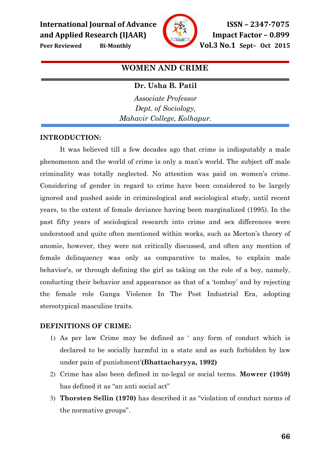

Peer Reviewed Bi-Monthly **Vol.3 No.1** Sept- Oct 2015

# WOMEN AND CRIME

## Dr. Usha B. Patil

Associate Professor Dept. of Sociology, Mahavir College, Kolhapur.

## INTRODUCTION:

 It was believed till a few decades ago that crime is indisputably a male phenomenon and the world of crime is only a man's world. The subject off male criminality was totally neglected. No attention was paid on women's crime. Considering of gender in regard to crime have been considered to be largely ignored and pushed aside in criminological and sociological study, until recent years, to the extent of female deviance having been marginalized (1995). In the past fifty years of sociological research into crime and sex differences were understood and quite often mentioned within works, such as Merton's theory of anomie, however, they were not critically discussed, and often any mention of female delinquency was only as comparative to males, to explain male behavior's, or through defining the girl as taking on the role of a boy, namely, conducting their behavior and appearance as that of a 'tomboy' and by rejecting the female role Ganga Violence In The Post Industrial Era, adopting stereotypical masculine traits.

## DEFINITIONS OF CRIME:

- 1) As per law Crime may be defined as ' any form of conduct which is declared to be socially harmful in a state and as such forbidden by law under pain of punishment'(Bhattacharyya, 1992)
- 2) Crime has also been defined in no-legal or social terms. Mowrer (1959) has defined it as "an anti social act"
- 3) Thorsten Sellin (1970) has described it as "violation of conduct norms of the normative groups".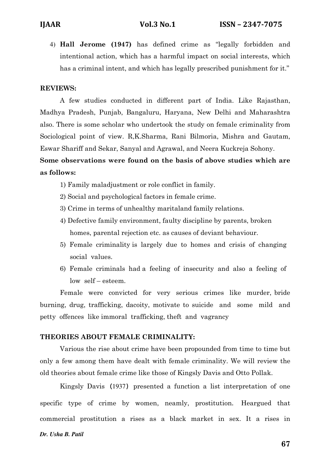4) Hall Jerome (1947) has defined crime as "legally forbidden and intentional action, which has a harmful impact on social interests, which has a criminal intent, and which has legally prescribed punishment for it."

#### REVIEWS:

A few studies conducted in different part of India. Like Rajasthan, Madhya Pradesh, Punjab, Bangaluru, Haryana, New Delhi and Maharashtra also. There is some scholar who undertook the study on female criminality from Sociological point of view. R,K.Sharma, Rani Bilmoria, Mishra and Gautam, Eswar Shariff and Sekar, Sanyal and Agrawal, and Neera Kuckreja Sohony.

# Some observations were found on the basis of above studies which are as follows:

- 1) Family maladjustment or role conflict in family.
- 2) Social and psychological factors in female crime.
- 3) Crime in terms of unhealthy maritaland family relations.
- 4) Defective family environment, faulty discipline by parents, broken homes, parental rejection etc. as causes of deviant behaviour.
- 5) Female criminality is largely due to homes and crisis of changing social values.
- 6) Female criminals had a feeling of insecurity and also a feeling of low self – esteem.

 Female were convicted for very serious crimes like murder, bride burning, drug, trafficking, dacoity, motivate to suicide and some mild and petty offences like immoral trafficking, theft and vagrancy

#### THEORIES ABOUT FEMALE CRIMINALITY:

Various the rise about crime have been propounded from time to time but only a few among them have dealt with female criminality. We will review the old theories about female crime like those of Kingsly Davis and Otto Pollak.

 Kingsly Davis (1937) presented a function a list interpretation of one specific type of crime by women, neamly, prostitution. Heargued that commercial prostitution a rises as a black market in sex. It a rises in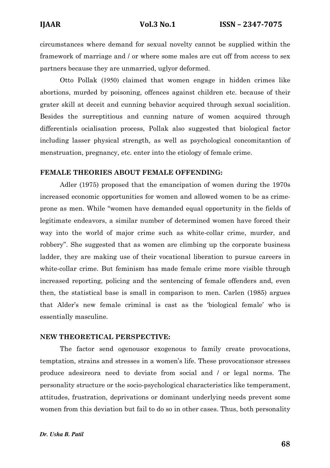circumstances where demand for sexual novelty cannot be supplied within the framework of marriage and / or where some males are cut off from access to sex partners because they are unmarried, uglyor deformed.

 Otto Pollak (1950) claimed that women engage in hidden crimes like abortions, murded by poisoning, offences against children etc. because of their grater skill at deceit and cunning behavior acquired through sexual socialition. Besides the surreptitious and cunning nature of women acquired through differentials ocialisation process, Pollak also suggested that biological factor including lasser physical strength, as well as psychological concomitantion of menstruation, pregnancy, etc. enter into the etiology of female crime.

#### FEMALE THEORIES ABOUT FEMALE OFFENDING:

Adler (1975) proposed that the emancipation of women during the 1970s increased economic opportunities for women and allowed women to be as crimeprone as men. While "women have demanded equal opportunity in the fields of legitimate endeavors, a similar number of determined women have forced their way into the world of major crime such as white-collar crime, murder, and robbery". She suggested that as women are climbing up the corporate business ladder, they are making use of their vocational liberation to pursue careers in white-collar crime. But feminism has made female crime more visible through increased reporting, policing and the sentencing of female offenders and, even then, the statistical base is small in comparison to men. Carlen (1985) argues that Alder's new female criminal is cast as the 'biological female' who is essentially masculine.

#### NEW THEORETICAL PERSPECTIVE:

The factor send ogenousor exogenous to family create provocations, temptation, strains and stresses in a women's life. These provocationsor stresses produce adesireora need to deviate from social and / or legal norms. The personality structure or the socio-psychological characteristics like temperament, attitudes, frustration, deprivations or dominant underlying needs prevent some women from this deviation but fail to do so in other cases. Thus, both personality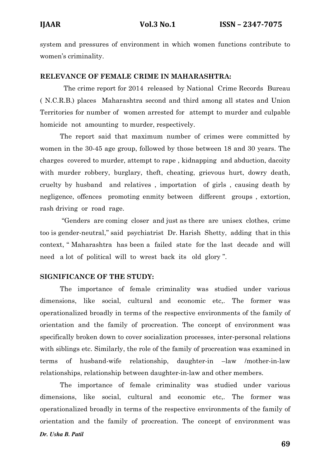system and pressures of environment in which women functions contribute to women's criminality.

#### RELEVANCE OF FEMALE CRIME IN MAHARASHTRA:

 The crime report for 2014 released by National Crime Records Bureau ( N.C.R.B.) places Maharashtra second and third among all states and Union Territories for number of women arrested for attempt to murder and culpable homicide not amounting to murder, respectively.

The report said that maximum number of crimes were committed by women in the 30-45 age group, followed by those between 18 and 30 years. The charges covered to murder, attempt to rape , kidnapping and abduction, dacoity with murder robbery, burglary, theft, cheating, grievous hurt, dowry death, cruelty by husband and relatives , importation of girls , causing death by negligence, offences promoting enmity between different groups , extortion, rash driving or road rage.

 "Genders are coming closer and just as there are unisex clothes, crime too is gender-neutral,'' said psychiatrist Dr. Harish Shetty, adding that in this context, " Maharashtra has been a failed state for the last decade and will need a lot of political will to wrest back its old glory ''.

#### SIGNIFICANCE OF THE STUDY:

The importance of female criminality was studied under various dimensions, like social, cultural and economic etc,. The former was operationalized broadly in terms of the respective environments of the family of orientation and the family of procreation. The concept of environment was specifically broken down to cover socialization processes, inter-personal relations with siblings etc. Similarly, the role of the family of procreation was examined in terms of husband-wife relationship, daughter-in –law /mother-in-law relationships, relationship between daughter-in-law and other members.

*Dr. Usha B. Patil*  The importance of female criminality was studied under various dimensions, like social, cultural and economic etc,. The former was operationalized broadly in terms of the respective environments of the family of orientation and the family of procreation. The concept of environment was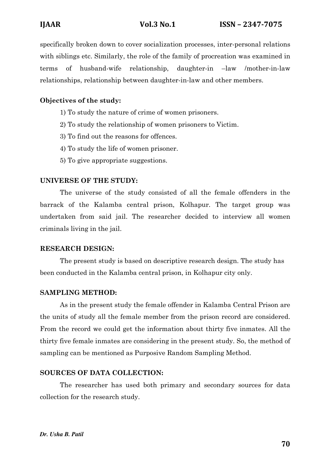specifically broken down to cover socialization processes, inter-personal relations with siblings etc. Similarly, the role of the family of procreation was examined in terms of husband-wife relationship, daughter-in –law /mother-in-law relationships, relationship between daughter-in-law and other members.

## Objectives of the study:

- 1) To study the nature of crime of women prisoners.
- 2) To study the relationship of women prisoners to Victim.
- 3) To find out the reasons for offences.
- 4) To study the life of women prisoner.
- 5) To give appropriate suggestions.

#### UNIVERSE OF THE STUDY:

The universe of the study consisted of all the female offenders in the barrack of the Kalamba central prison, Kolhapur. The target group was undertaken from said jail. The researcher decided to interview all women criminals living in the jail.

#### RESEARCH DESIGN:

The present study is based on descriptive research design. The study has been conducted in the Kalamba central prison, in Kolhapur city only.

#### SAMPLING METHOD:

As in the present study the female offender in Kalamba Central Prison are the units of study all the female member from the prison record are considered. From the record we could get the information about thirty five inmates. All the thirty five female inmates are considering in the present study. So, the method of sampling can be mentioned as Purposive Random Sampling Method.

#### SOURCES OF DATA COLLECTION:

The researcher has used both primary and secondary sources for data collection for the research study.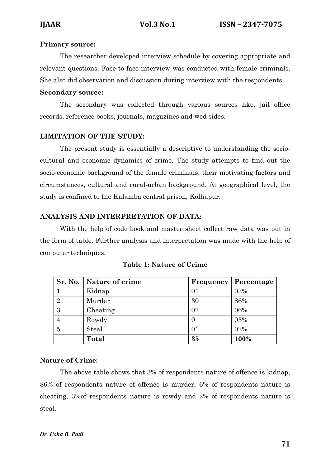### Primary source:

The researcher developed interview schedule by covering appropriate and relevant questions. Face to face interview was conducted with female criminals. She also did observation and discussion during interview with the respondents.

#### Secondary source:

The secondary was collected through various sources like, jail office records, reference books, journals, magazines and wed sides.

## LIMITATION OF THE STUDY:

The present study is essentially a descriptive to understanding the sociocultural and economic dynamics of crime. The study attempts to find out the socio-economic background of the female criminals, their motivating factors and circumstances, cultural and rural-urban background. At geographical level, the study is confined to the Kalamba central prison, Kolhapur.

### ANALYSIS AND INTERPRETATION OF DATA:

With the help of code book and master sheet collect raw data was put in the form of table. Further analysis and interpretation was made with the help of computer techniques.

|                | Sr. No.   Nature of crime | Frequency | Percentage |
|----------------|---------------------------|-----------|------------|
|                | Kidnap                    |           | 03%        |
| $\overline{2}$ | Murder                    | 30        | 86%        |
| 3              | Cheating                  | 02        | 06%        |
|                | Rowdy                     | 01        | 03%        |
| 5              | Steal                     |           | 02%        |
|                | <b>Total</b>              | 35        | 100%       |

#### Table 1: Nature of Crime

## Nature of Crime:

The above table shows that 3% of respondents nature of offence is kidnap, 86% of respondents nature of offence is murder, 6% of respondents nature is cheating, 3%of respondents nature is rowdy and 2% of respondents nature is steal.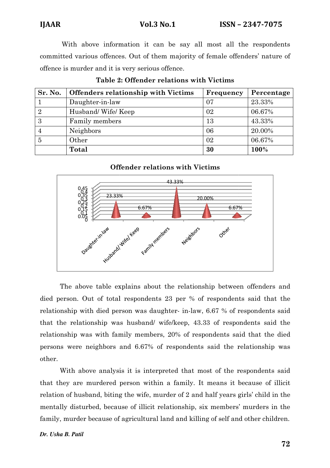Vol.3  $No.1$ 

IJAAR

 With above information it can be say all most all the respondents committed various offences. Out of them majority of female offenders' nature of offence is murder and it is very serious offence.

| Sr. No.        | <b>Offenders relationship with Victims</b> | Frequency | Percentage |
|----------------|--------------------------------------------|-----------|------------|
|                | Daughter-in-law                            | 07        | 23.33%     |
| $\overline{2}$ | Husband/Wife/Keep                          | 02        | 06.67%     |
| 3              | Family members                             | 13        | 43.33%     |
|                | Neighbors                                  | 06        | 20.00%     |
| 5              | Other                                      | 02        | 06.67%     |
|                | <b>Total</b>                               | 30        | 100%       |

| Table 2: Offender relations with Victims |  |  |
|------------------------------------------|--|--|
|------------------------------------------|--|--|

### Offender relations with Victims



The above table explains about the relationship between offenders and died person. Out of total respondents 23 per % of respondents said that the relationship with died person was daughter- in-law, 6.67 % of respondents said that the relationship was husband/ wife/keep, 43.33 of respondents said the relationship with died person was daughter- in-law, 6.67 % of respondents said<br>that the relationship was husband/ wife/keep, 43.33 of respondents said the<br>relationship was with family members, 20% of respondents said that persons were neighbors and 6.67% of respondents said the relationship was other.

With above analysis it is interpreted that most of the respondents said that they are murdered person within a family. It means it because of illicit relation of husband, biting the wife, murder of 2 and half years girls' child in the mentally disturbed, because of illicit relationship, six members' murders in the family, murder because of agricultural land and killing of self and other children.

#### *Dr. Usha B. Patil*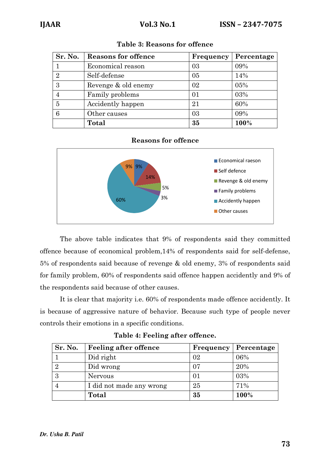| Sr. No.                     | <b>Reasons for offence</b> | <b>Frequency</b> | Percentage |
|-----------------------------|----------------------------|------------------|------------|
|                             | Economical reason          | 03               | 09%        |
| $\mathcal{D}_{\mathcal{L}}$ | Self-defense               | 05               | 14%        |
| 3                           | Revenge & old enemy        | 02               | 05%        |
|                             | Family problems            | 01               | 03%        |
| 5                           | Accidently happen          | 21               | 60%        |
|                             | Other causes               | 03               | 09%        |
|                             | Total                      | 35               | 100%       |

| <b>Table 3: Reasons for offence</b> |  |
|-------------------------------------|--|
|-------------------------------------|--|

### Reasons for offence



The above table indicates that 9% of respondents said they committed offence because of economical problem,14% of respondents said for self-defense, 5% of respondents said because of revenge & old enemy, 3% of respondents said for family problem, 60% of respondents said offence happen accidently and 9% of the respondents said because of other causes.

 It is clear that majority i.e. 60% of respondents made offence accidently. It is because of aggressive nature of behavior. Because such type of people never controls their emotions in a specific conditions.

| Sr. No. | <b>Feeling after offence</b> |    | <b>Frequency</b>   Percentage |
|---------|------------------------------|----|-------------------------------|
|         | Did right                    | 02 | 06%                           |
|         | Did wrong                    | 07 | 20%                           |
|         | <b>Nervous</b>               |    | 03%                           |
|         | I did not made any wrong     | 25 | 71%                           |
|         | Total                        | 35 | 100%                          |

Table 4: Feeling after offence.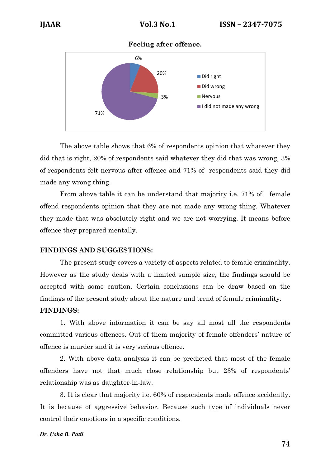Feeling after offence.



 The above table shows that 6% of respondents opinion that whatever they did that is right, 20% of respondents said whatever they did that was wrong, 3% of respondents felt nervous after offence and 71% of respondents said they did made any wrong thing.

 From above table it can be understand that majority i.e. 71% of female offend respondents opinion that they are not made any wrong thing. Whatever they made that was absolutely right and we are not worrying. It means before offence they prepared mentally.

## FINDINGS AND SUGGESTIONS:

 The present study covers a variety of aspects related to female criminality. However as the study deals with a limited sample size, the findings should be accepted with some caution. Certain conclusions can be draw based on the findings of the present study about the nature and trend of female criminality.

#### FINDINGS:

 1. With above information it can be say all most all the respondents committed various offences. Out of them majority of female offenders' nature of offence is murder and it is very serious offence.

 2. With above data analysis it can be predicted that most of the female offenders have not that much close relationship but 23% of respondents' relationship was as daughter-in-law.

 3. It is clear that majority i.e. 60% of respondents made offence accidently. It is because of aggressive behavior. Because such type of individuals never control their emotions in a specific conditions.

#### *Dr. Usha B. Patil*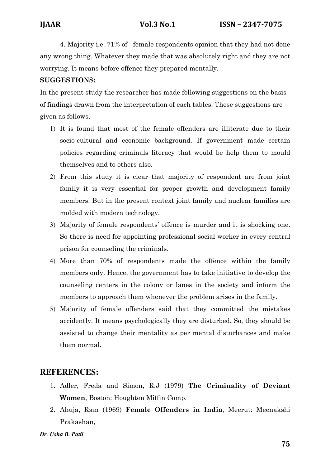4. Majority i.e. 71% of female respondents opinion that they had not done any wrong thing. Whatever they made that was absolutely right and they are not worrying. It means before offence they prepared mentally.

## SUGGESTIONS:

In the present study the researcher has made following suggestions on the basis of findings drawn from the interpretation of each tables. These suggestions are given as follows.

- 1) It is found that most of the female offenders are illiterate due to their socio-cultural and economic background. If government made certain policies regarding criminals literacy that would be help them to mould themselves and to others also.
- 2) From this study it is clear that majority of respondent are from joint family it is very essential for proper growth and development family members. But in the present context joint family and nuclear families are molded with modern technology.
- 3) Majority of female respondents' offence is murder and it is shocking one. So there is need for appointing professional social worker in every central prison for counseling the criminals.
- 4) More than 70% of respondents made the offence within the family members only. Hence, the government has to take initiative to develop the counseling centers in the colony or lanes in the society and inform the members to approach them whenever the problem arises in the family.
- 5) Majority of female offenders said that they committed the mistakes accidently. It means psychologically they are disturbed. So, they should be assisted to change their mentality as per mental disturbances and make them normal.

# **REFERENCES:**

- 1. Adler, Freda and Simon, R.J (1979) The Criminality of Deviant Women, Boston: Houghten Miffin Comp.
- 2. Ahuja, Ram (1969) Female Offenders in India, Meerut: Meenakshi Prakashan,